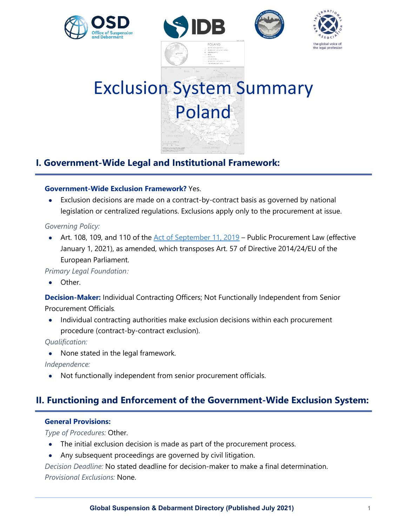







# Exclusion System Summary Poland

# **I. Government-Wide Legal and Institutional Framework:**

# **Government-Wide Exclusion Framework?** Yes.

• Exclusion decisions are made on a contract-by-contract basis as governed by national legislation or centralized regulations. Exclusions apply only to the procurement at issue.

# *Governing Policy:*

• Art. 108, 109, and 110 of the [Act of September 11, 2019](https://www.uzp.gov.pl/__data/assets/pdf_file/0019/42184/ustawa_PZP_z_11_wrzesnia_2019.pdf) – Public Procurement Law (effective January 1, 2021), as amended, which transposes Art. 57 of Directive 2014/24/EU of the European Parliament.

*Primary Legal Foundation:*

Other.

**Decision-Maker:** Individual Contracting Officers; Not Functionally Independent from Senior Procurement Officials*.*

• Individual contracting authorities make exclusion decisions within each procurement procedure (contract-by-contract exclusion).

*Qualification:*

• None stated in the legal framework.

*Independence:*

• Not functionally independent from senior procurement officials.

# **II. Functioning and Enforcement of the Government-Wide Exclusion System:**

# **General Provisions:**

*Type of Procedures:* Other.

- The initial exclusion decision is made as part of the procurement process.
- Any subsequent proceedings are governed by civil litigation.

*Decision Deadline:* No stated deadline for decision-maker to make a final determination.

*Provisional Exclusions:* None.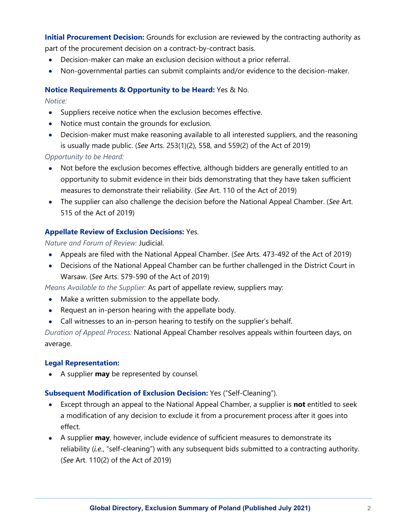**Initial Procurement Decision:** Grounds for exclusion are reviewed by the contracting authority as part of the procurement decision on a contract-by-contract basis.

- Decision-maker can make an exclusion decision without a prior referral.
- Non-governmental parties can submit complaints and/or evidence to the decision-maker.

# **Notice Requirements & Opportunity to be Heard:** Yes & No.

*Notice:*

- Suppliers receive notice when the exclusion becomes effective.
- Notice must contain the grounds for exclusion.
- Decision-maker must make reasoning available to all interested suppliers, and the reasoning is usually made public. (*See* Arts. 253(1)(2), 558, and 559(2) of the Act of 2019)

*Opportunity to be Heard:*

- Not before the exclusion becomes effective, although bidders are generally entitled to an opportunity to submit evidence in their bids demonstrating that they have taken sufficient measures to demonstrate their reliability. (*See* Art. 110 of the Act of 2019)
- The supplier can also challenge the decision before the National Appeal Chamber. (*See* Art. 515 of the Act of 2019)

# **Appellate Review of Exclusion Decisions:** Yes.

*Nature and Forum of Review:* Judicial.

- Appeals are filed with the National Appeal Chamber. (*See* Arts. 473-492 of the Act of 2019)
- Decisions of the National Appeal Chamber can be further challenged in the District Court in Warsaw. (*See* Arts. 579-590 of the Act of 2019)

*Means Available to the Supplier:* As part of appellate review, suppliers may:

- Make a written submission to the appellate body.
- Request an in-person hearing with the appellate body.
- Call witnesses to an in-person hearing to testify on the supplier's behalf.

*Duration of Appeal Process:* National Appeal Chamber resolves appeals within fourteen days, on average.

## **Legal Representation:**

• A supplier **may** be represented by counsel.

## **Subsequent Modification of Exclusion Decision:** Yes ("Self-Cleaning").

- Except through an appeal to the National Appeal Chamber, a supplier is **not** entitled to seek a modification of any decision to exclude it from a procurement process after it goes into effect.
- A supplier **may**, however, include evidence of sufficient measures to demonstrate its reliability (*i.e.*, "self-cleaning") with any subsequent bids submitted to a contracting authority. (*See* Art. 110(2) of the Act of 2019)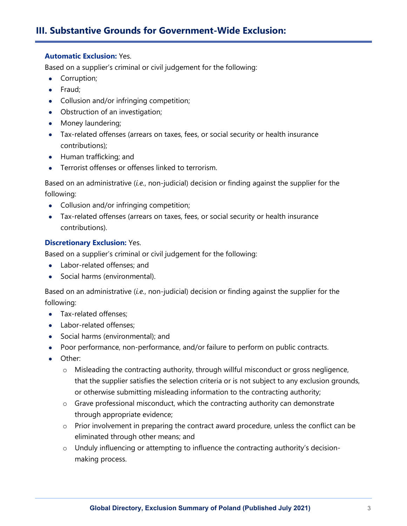# **III. Substantive Grounds for Government-Wide Exclusion:**

## **Automatic Exclusion:** Yes.

Based on a supplier's criminal or civil judgement for the following:

- Corruption;
- Fraud;
- Collusion and/or infringing competition;
- Obstruction of an investigation;
- Money laundering;
- Tax-related offenses (arrears on taxes, fees, or social security or health insurance contributions);
- Human trafficking; and
- Terrorist offenses or offenses linked to terrorism.

Based on an administrative (*i.e.*, non-judicial) decision or finding against the supplier for the following:

- Collusion and/or infringing competition;
- Tax-related offenses (arrears on taxes, fees, or social security or health insurance contributions).

# **Discretionary Exclusion:** Yes.

Based on a supplier's criminal or civil judgement for the following:

- Labor-related offenses; and
- Social harms (environmental).

Based on an administrative (*i.e.*, non-judicial) decision or finding against the supplier for the following:

- Tax-related offenses;
- Labor-related offenses;
- Social harms (environmental); and
- Poor performance, non-performance, and/or failure to perform on public contracts.
- Other:
	- o Misleading the contracting authority, through willful misconduct or gross negligence, that the supplier satisfies the selection criteria or is not subject to any exclusion grounds, or otherwise submitting misleading information to the contracting authority;
	- o Grave professional misconduct, which the contracting authority can demonstrate through appropriate evidence;
	- $\circ$  Prior involvement in preparing the contract award procedure, unless the conflict can be eliminated through other means; and
	- o Unduly influencing or attempting to influence the contracting authority's decisionmaking process.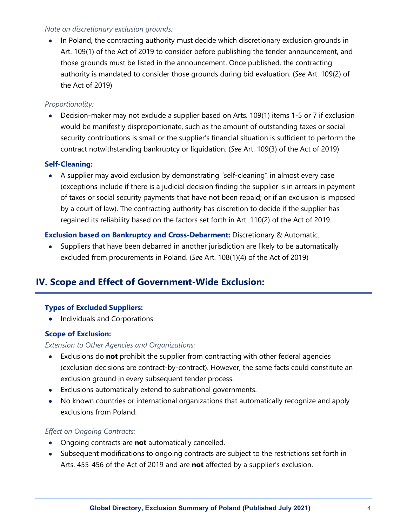## *Note on discretionary exclusion grounds:*

• In Poland, the contracting authority must decide which discretionary exclusion grounds in Art. 109(1) of the Act of 2019 to consider before publishing the tender announcement, and those grounds must be listed in the announcement. Once published, the contracting authority is mandated to consider those grounds during bid evaluation. (*See* Art. 109(2) of the Act of 2019)

# *Proportionality:*

• Decision-maker may not exclude a supplier based on Arts. 109(1) items 1-5 or 7 if exclusion would be manifestly disproportionate, such as the amount of outstanding taxes or social security contributions is small or the supplier's financial situation is sufficient to perform the contract notwithstanding bankruptcy or liquidation. (*See* Art. 109(3) of the Act of 2019)

# **Self-Cleaning:**

• A supplier may avoid exclusion by demonstrating "self-cleaning" in almost every case (exceptions include if there is a judicial decision finding the supplier is in arrears in payment of taxes or social security payments that have not been repaid; or if an exclusion is imposed by a court of law). The contracting authority has discretion to decide if the supplier has regained its reliability based on the factors set forth in Art. 110(2) of the Act of 2019.

# **Exclusion based on Bankruptcy and Cross-Debarment:** Discretionary & Automatic.

• Suppliers that have been debarred in another jurisdiction are likely to be automatically excluded from procurements in Poland. (*See* Art. 108(1)(4) of the Act of 2019)

# **IV. Scope and Effect of Government-Wide Exclusion:**

## **Types of Excluded Suppliers:**

• Individuals and Corporations.

# **Scope of Exclusion:**

## *Extension to Other Agencies and Organizations:*

- Exclusions do **not** prohibit the supplier from contracting with other federal agencies (exclusion decisions are contract-by-contract). However, the same facts could constitute an exclusion ground in every subsequent tender process.
- Exclusions automatically extend to subnational governments.
- No known countries or international organizations that automatically recognize and apply exclusions from Poland.

## *Effect on Ongoing Contracts:*

- Ongoing contracts are **not** automatically cancelled.
- Subsequent modifications to ongoing contracts are subject to the restrictions set forth in Arts. 455-456 of the Act of 2019 and are **not** affected by a supplier's exclusion.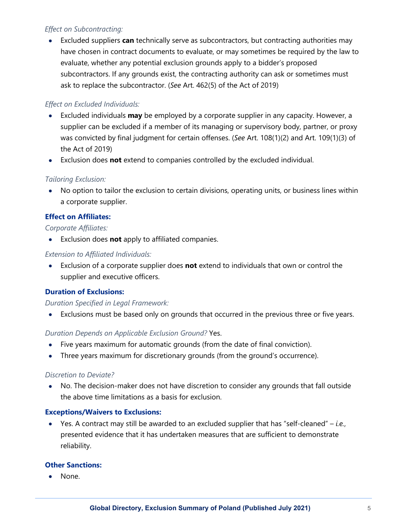# *Effect on Subcontracting:*

• Excluded suppliers **can** technically serve as subcontractors, but contracting authorities may have chosen in contract documents to evaluate, or may sometimes be required by the law to evaluate, whether any potential exclusion grounds apply to a bidder's proposed subcontractors. If any grounds exist, the contracting authority can ask or sometimes must ask to replace the subcontractor. (*See* Art. 462(5) of the Act of 2019)

# *Effect on Excluded Individuals:*

- Excluded individuals **may** be employed by a corporate supplier in any capacity. However, a supplier can be excluded if a member of its managing or supervisory body, partner, or proxy was convicted by final judgment for certain offenses. (*See* Art. 108(1)(2) and Art. 109(1)(3) of the Act of 2019)
- Exclusion does **not** extend to companies controlled by the excluded individual.

# *Tailoring Exclusion:*

• No option to tailor the exclusion to certain divisions, operating units, or business lines within a corporate supplier.

# **Effect on Affiliates:**

## *Corporate Affiliates:*

• Exclusion does **not** apply to affiliated companies.

# *Extension to Affiliated Individuals:*

• Exclusion of a corporate supplier does **not** extend to individuals that own or control the supplier and executive officers.

# **Duration of Exclusions:**

## *Duration Specified in Legal Framework:*

• Exclusions must be based only on grounds that occurred in the previous three or five years.

## *Duration Depends on Applicable Exclusion Ground?* Yes.

- Five years maximum for automatic grounds (from the date of final conviction).
- Three years maximum for discretionary grounds (from the ground's occurrence).

## *Discretion to Deviate?*

• No. The decision-maker does not have discretion to consider any grounds that fall outside the above time limitations as a basis for exclusion.

## **Exceptions/Waivers to Exclusions:**

• Yes. A contract may still be awarded to an excluded supplier that has "self-cleaned" – *i.e.*, presented evidence that it has undertaken measures that are sufficient to demonstrate reliability.

## **Other Sanctions:**

• None.